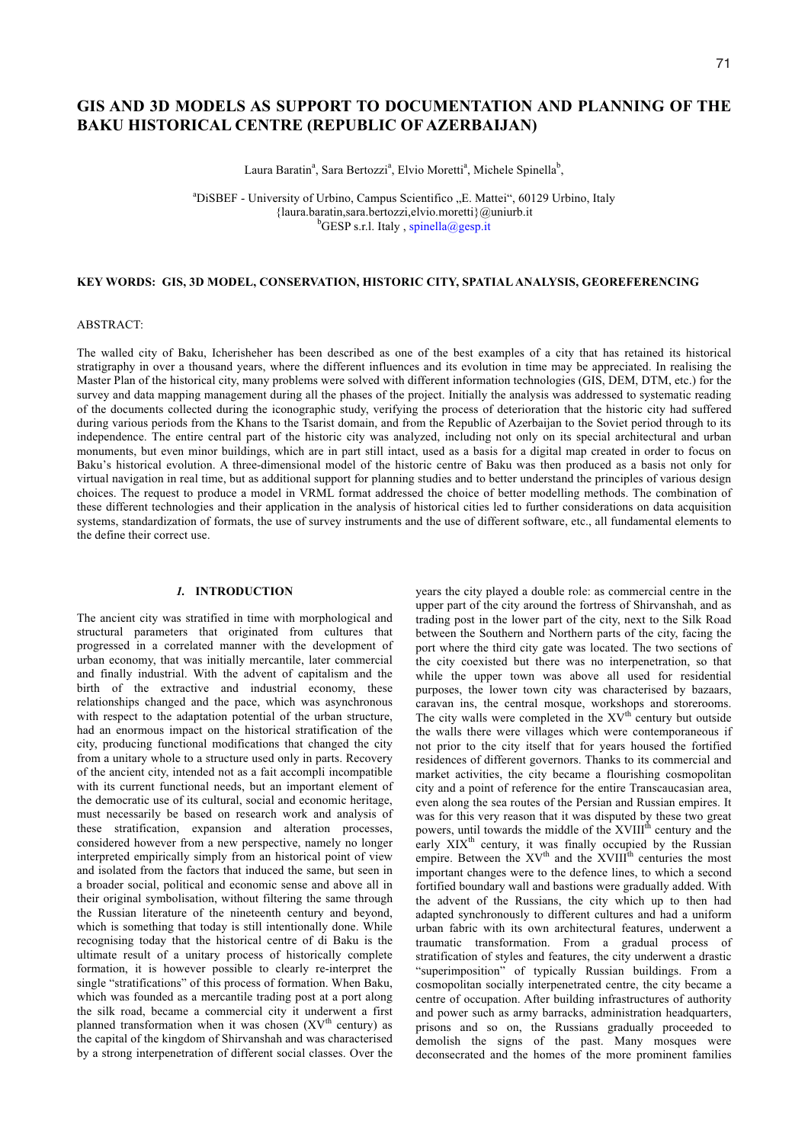# **GIS AND 3D MODELS AS SUPPORT TO DOCUMENTATION AND PLANNING OF THE BAKU HISTORICAL CENTRE (REPUBLIC OF AZERBAIJAN)**

Laura Baratin<sup>a</sup>, Sara Bertozzi<sup>a</sup>, Elvio Moretti<sup>a</sup>, Michele Spinella<sup>b</sup>,

<sup>a</sup>DiSBEF - University of Urbino, Campus Scientifico "E. Mattei", 60129 Urbino, Italy {laura.baratin,sara.bertozzi,elvio.moretti}@uniurb.it b  $b$ GESP s.r.l. Italy, spinella@gesp.it

#### **KEY WORDS: GIS, 3D MODEL, CONSERVATION, HISTORIC CITY, SPATIAL ANALYSIS, GEOREFERENCING**

#### ABSTRACT:

The walled city of Baku, Icherisheher has been described as one of the best examples of a city that has retained its historical stratigraphy in over a thousand years, where the different influences and its evolution in time may be appreciated. In realising the Master Plan of the historical city, many problems were solved with different information technologies (GIS, DEM, DTM, etc.) for the survey and data mapping management during all the phases of the project. Initially the analysis was addressed to systematic reading of the documents collected during the iconographic study, verifying the process of deterioration that the historic city had suffered during various periods from the Khans to the Tsarist domain, and from the Republic of Azerbaijan to the Soviet period through to its independence. The entire central part of the historic city was analyzed, including not only on its special architectural and urban monuments, but even minor buildings, which are in part still intact, used as a basis for a digital map created in order to focus on Baku's historical evolution. A three-dimensional model of the historic centre of Baku was then produced as a basis not only for virtual navigation in real time, but as additional support for planning studies and to better understand the principles of various design choices. The request to produce a model in VRML format addressed the choice of better modelling methods. The combination of these different technologies and their application in the analysis of historical cities led to further considerations on data acquisition systems, standardization of formats, the use of survey instruments and the use of different software, etc., all fundamental elements to the define their correct use.

### *1.* **INTRODUCTION**

The ancient city was stratified in time with morphological and structural parameters that originated from cultures that progressed in a correlated manner with the development of urban economy, that was initially mercantile, later commercial and finally industrial. With the advent of capitalism and the birth of the extractive and industrial economy, these relationships changed and the pace, which was asynchronous with respect to the adaptation potential of the urban structure, had an enormous impact on the historical stratification of the city, producing functional modifications that changed the city from a unitary whole to a structure used only in parts. Recovery of the ancient city, intended not as a fait accompli incompatible with its current functional needs, but an important element of the democratic use of its cultural, social and economic heritage, must necessarily be based on research work and analysis of these stratification, expansion and alteration processes, considered however from a new perspective, namely no longer interpreted empirically simply from an historical point of view and isolated from the factors that induced the same, but seen in a broader social, political and economic sense and above all in their original symbolisation, without filtering the same through the Russian literature of the nineteenth century and beyond, which is something that today is still intentionally done. While recognising today that the historical centre of di Baku is the ultimate result of a unitary process of historically complete formation, it is however possible to clearly re-interpret the single "stratifications" of this process of formation. When Baku, which was founded as a mercantile trading post at a port along the silk road, became a commercial city it underwent a first planned transformation when it was chosen  $(XV<sup>th</sup>$  century) as the capital of the kingdom of Shirvanshah and was characterised by a strong interpenetration of different social classes. Over the

years the city played a double role: as commercial centre in the upper part of the city around the fortress of Shirvanshah, and as trading post in the lower part of the city, next to the Silk Road between the Southern and Northern parts of the city, facing the port where the third city gate was located. The two sections of the city coexisted but there was no interpenetration, so that while the upper town was above all used for residential purposes, the lower town city was characterised by bazaars, caravan ins, the central mosque, workshops and storerooms. The city walls were completed in the  $XV<sup>th</sup>$  century but outside the walls there were villages which were contemporaneous if not prior to the city itself that for years housed the fortified residences of different governors. Thanks to its commercial and market activities, the city became a flourishing cosmopolitan city and a point of reference for the entire Transcaucasian area, even along the sea routes of the Persian and Russian empires. It was for this very reason that it was disputed by these two great powers, until towards the middle of the XVIII<sup>th</sup> century and the early  $XIX<sup>th</sup>$  century, it was finally occupied by the Russian empire. Between the XV<sup>th</sup> and the XVIII<sup>th</sup> centuries the most important changes were to the defence lines, to which a second fortified boundary wall and bastions were gradually added. With the advent of the Russians, the city which up to then had adapted synchronously to different cultures and had a uniform urban fabric with its own architectural features, underwent a traumatic transformation. From a gradual process of stratification of styles and features, the city underwent a drastic "superimposition" of typically Russian buildings. From a cosmopolitan socially interpenetrated centre, the city became a centre of occupation. After building infrastructures of authority and power such as army barracks, administration headquarters, prisons and so on, the Russians gradually proceeded to demolish the signs of the past. Many mosques were deconsecrated and the homes of the more prominent families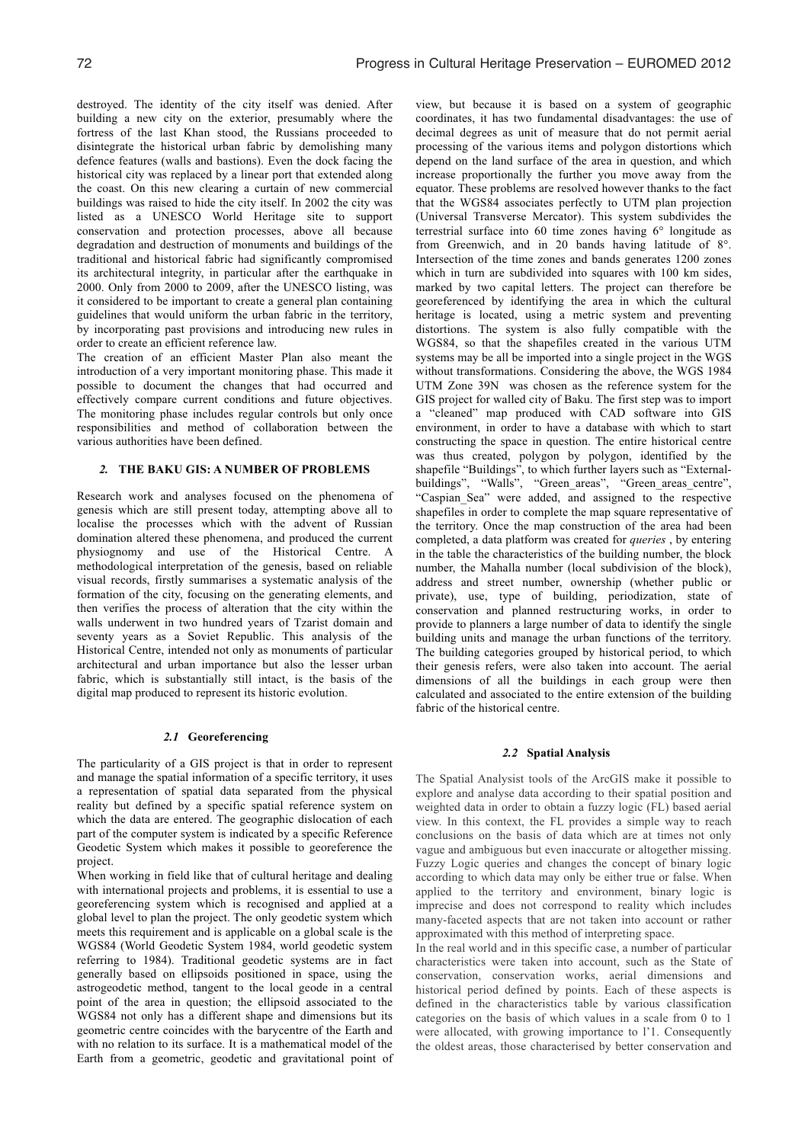destroyed. The identity of the city itself was denied. After building a new city on the exterior, presumably where the fortress of the last Khan stood, the Russians proceeded to disintegrate the historical urban fabric by demolishing many defence features (walls and bastions). Even the dock facing the historical city was replaced by a linear port that extended along the coast. On this new clearing a curtain of new commercial buildings was raised to hide the city itself. In 2002 the city was listed as a UNESCO World Heritage site to support conservation and protection processes, above all because degradation and destruction of monuments and buildings of the traditional and historical fabric had significantly compromised its architectural integrity, in particular after the earthquake in 2000. Only from 2000 to 2009, after the UNESCO listing, was it considered to be important to create a general plan containing guidelines that would uniform the urban fabric in the territory, by incorporating past provisions and introducing new rules in order to create an efficient reference law.

The creation of an efficient Master Plan also meant the introduction of a very important monitoring phase. This made it possible to document the changes that had occurred and effectively compare current conditions and future objectives. The monitoring phase includes regular controls but only once responsibilities and method of collaboration between the various authorities have been defined.

### *2.* **THE BAKU GIS: A NUMBER OF PROBLEMS**

Research work and analyses focused on the phenomena of genesis which are still present today, attempting above all to localise the processes which with the advent of Russian domination altered these phenomena, and produced the current physiognomy and use of the Historical Centre. A methodological interpretation of the genesis, based on reliable visual records, firstly summarises a systematic analysis of the formation of the city, focusing on the generating elements, and then verifies the process of alteration that the city within the walls underwent in two hundred years of Tzarist domain and seventy years as a Soviet Republic. This analysis of the Historical Centre, intended not only as monuments of particular architectural and urban importance but also the lesser urban fabric, which is substantially still intact, is the basis of the digital map produced to represent its historic evolution.

### *2.1* **Georeferencing**

The particularity of a GIS project is that in order to represent and manage the spatial information of a specific territory, it uses a representation of spatial data separated from the physical reality but defined by a specific spatial reference system on which the data are entered. The geographic dislocation of each part of the computer system is indicated by a specific Reference Geodetic System which makes it possible to georeference the project.

When working in field like that of cultural heritage and dealing with international projects and problems, it is essential to use a georeferencing system which is recognised and applied at a global level to plan the project. The only geodetic system which meets this requirement and is applicable on a global scale is the WGS84 (World Geodetic System 1984, world geodetic system referring to 1984). Traditional geodetic systems are in fact generally based on ellipsoids positioned in space, using the astrogeodetic method, tangent to the local geode in a central point of the area in question; the ellipsoid associated to the WGS84 not only has a different shape and dimensions but its geometric centre coincides with the barycentre of the Earth and with no relation to its surface. It is a mathematical model of the Earth from a geometric, geodetic and gravitational point of view, but because it is based on a system of geographic coordinates, it has two fundamental disadvantages: the use of decimal degrees as unit of measure that do not permit aerial processing of the various items and polygon distortions which depend on the land surface of the area in question, and which increase proportionally the further you move away from the equator. These problems are resolved however thanks to the fact that the WGS84 associates perfectly to UTM plan projection (Universal Transverse Mercator). This system subdivides the terrestrial surface into 60 time zones having 6° longitude as from Greenwich, and in 20 bands having latitude of 8°. Intersection of the time zones and bands generates 1200 zones which in turn are subdivided into squares with 100 km sides, marked by two capital letters. The project can therefore be georeferenced by identifying the area in which the cultural heritage is located, using a metric system and preventing distortions. The system is also fully compatible with the WGS84, so that the shapefiles created in the various UTM systems may be all be imported into a single project in the WGS without transformations. Considering the above, the WGS 1984 UTM Zone 39N was chosen as the reference system for the GIS project for walled city of Baku. The first step was to import a "cleaned" map produced with CAD software into GIS environment, in order to have a database with which to start constructing the space in question. The entire historical centre was thus created, polygon by polygon, identified by the shapefile "Buildings", to which further layers such as "Externalbuildings", "Walls", "Green areas", "Green areas centre", "Caspian\_Sea" were added, and assigned to the respective shapefiles in order to complete the map square representative of the territory. Once the map construction of the area had been completed, a data platform was created for *queries* , by entering in the table the characteristics of the building number, the block number, the Mahalla number (local subdivision of the block), address and street number, ownership (whether public or private), use, type of building, periodization, state of conservation and planned restructuring works, in order to provide to planners a large number of data to identify the single building units and manage the urban functions of the territory. The building categories grouped by historical period, to which their genesis refers, were also taken into account. The aerial dimensions of all the buildings in each group were then calculated and associated to the entire extension of the building fabric of the historical centre.

#### *2.2* **Spatial Analysis**

The Spatial Analysist tools of the ArcGIS make it possible to explore and analyse data according to their spatial position and weighted data in order to obtain a fuzzy logic (FL) based aerial view. In this context, the FL provides a simple way to reach conclusions on the basis of data which are at times not only vague and ambiguous but even inaccurate or altogether missing. Fuzzy Logic queries and changes the concept of binary logic according to which data may only be either true or false. When applied to the territory and environment, binary logic is imprecise and does not correspond to reality which includes many-faceted aspects that are not taken into account or rather approximated with this method of interpreting space.

In the real world and in this specific case, a number of particular characteristics were taken into account, such as the State of conservation, conservation works, aerial dimensions and historical period defined by points. Each of these aspects is defined in the characteristics table by various classification categories on the basis of which values in a scale from 0 to 1 were allocated, with growing importance to l'1. Consequently the oldest areas, those characterised by better conservation and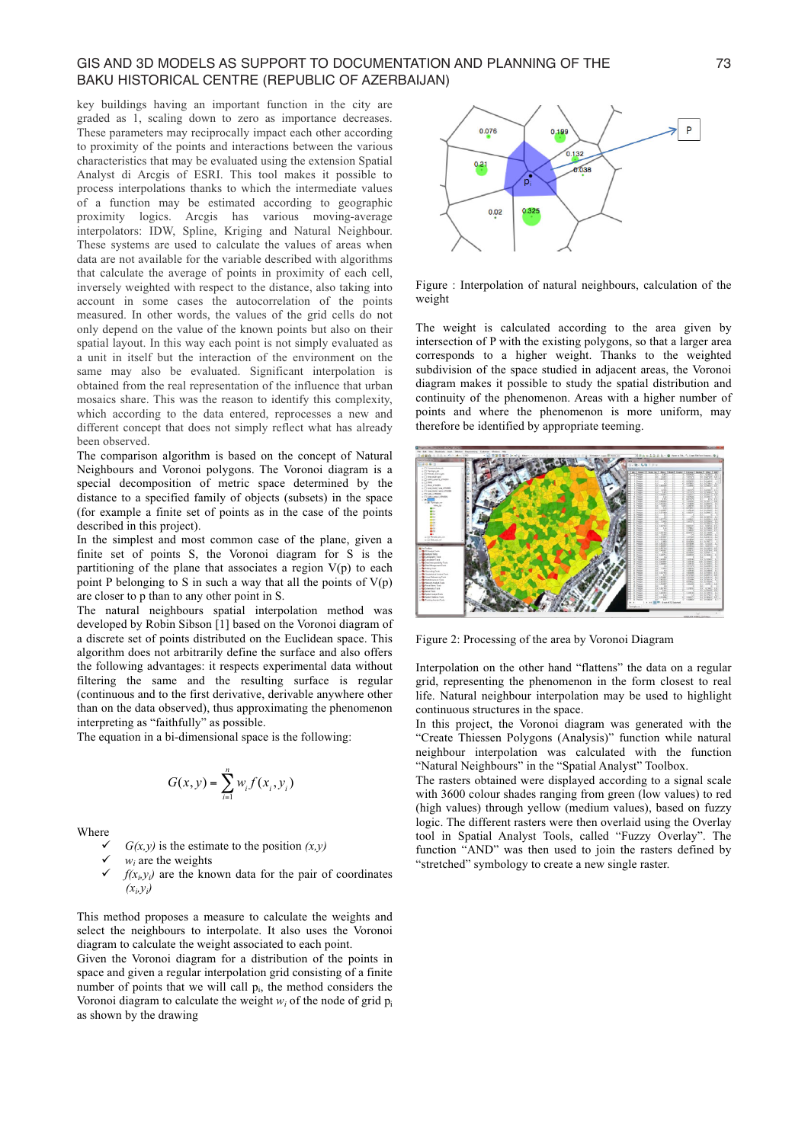## GIS AND 3D MODELS AS SUPPORT TO DOCUMENTATION AND PLANNING OF THE  $\qquad \qquad$  73 BAKU HISTORICAL CENTRE (REPUBLIC OF AZERBAIJAN)

key buildings having an important function in the city are graded as 1, scaling down to zero as importance decreases. These parameters may reciprocally impact each other according to proximity of the points and interactions between the various characteristics that may be evaluated using the extension Spatial Analyst di Arcgis of ESRI. This tool makes it possible to process interpolations thanks to which the intermediate values of a function may be estimated according to geographic proximity logics. Arcgis has various moving-average interpolators: IDW, Spline, Kriging and Natural Neighbour. These systems are used to calculate the values of areas when data are not available for the variable described with algorithms that calculate the average of points in proximity of each cell, inversely weighted with respect to the distance, also taking into account in some cases the autocorrelation of the points measured. In other words, the values of the grid cells do not only depend on the value of the known points but also on their spatial layout. In this way each point is not simply evaluated as a unit in itself but the interaction of the environment on the same may also be evaluated. Significant interpolation is obtained from the real representation of the influence that urban mosaics share. This was the reason to identify this complexity, which according to the data entered, reprocesses a new and different concept that does not simply reflect what has already been observed.

The comparison algorithm is based on the concept of Natural Neighbours and Voronoi polygons. The Voronoi diagram is a special decomposition of metric space determined by the distance to a specified family of objects (subsets) in the space (for example a finite set of points as in the case of the points described in this project).

In the simplest and most common case of the plane, given a finite set of points S, the Voronoi diagram for S is the partitioning of the plane that associates a region  $V(p)$  to each point P belonging to S in such a way that all the points of  $V(p)$ are closer to p than to any other point in S.

The natural neighbours spatial interpolation method was developed by Robin Sibson [1] based on the Voronoi diagram of a discrete set of points distributed on the Euclidean space. This algorithm does not arbitrarily define the surface and also offers the following advantages: it respects experimental data without filtering the same and the resulting surface is regular The same and the resulting surface is regular<br>
(continuous and to the first derivative, derivable anywhere other<br>
than on the data observed), thus approximating the phenomenon<br>
interpreting as "faithfully" as possible.<br>
T than on the data observed), thus approximating the phenomenon interpreting as "faithfully" as possible. For and the resulting<br>the first derivative, derives<br>served), thus approximate thing a possible.<br>bi-dimensional space is the *G*(*x*, *y*) =  $\sum_{i=1}^{n} w_i f(x_i, y_i)$ 

The equation in a bi-dimensional space is the following:

$$
G(x, y) = \sum_{i=1}^{n} w_i f(x_i, y_i)
$$

Where

 $(x_i, y_i)$ 

 $G(x, y)$  is the estimate to the position  $(x, y)$ *wi* are the weights  $f(x_i, y_i)$  are the known data for the pair of coordinates

This method proposes a measure to calculate the weights and select the neighbours to interpolate. It also uses the Voronoi diagram to calculate the weight associated to each point.

Given the Voronoi diagram for a distribution of the points in space and given a regular interpolation grid consisting of a finite number of points that we will call  $p_i$ , the method considers the Voronoi diagram to calculate the weight  $w_i$  of the node of grid  $p_i$ as shown by the drawing



Figure : Interpolation of natural neighbours, calculation of the weight

The weight is calculated according to the area given by intersection of P with the existing polygons, so that a larger area corresponds to a higher weight. Thanks to the weighted subdivision of the space studied in adjacent areas, the Voronoi diagram makes it possible to study the spatial distribution and continuity of the phenomenon. Areas with a higher number of points and where the phenomenon is more uniform, may therefore be identified by appropriate teeming.



Figure 2: Processing of the area by Voronoi Diagram

Interpolation on the other hand "flattens" the data on a regular grid, representing the phenomenon in the form closest to real life. Natural neighbour interpolation may be used to highlight continuous structures in the space.

In this project, the Voronoi diagram was generated with the "Create Thiessen Polygons (Analysis)" function while natural neighbour interpolation was calculated with the function "Natural Neighbours" in the "Spatial Analyst" Toolbox.

The rasters obtained were displayed according to a signal scale with 3600 colour shades ranging from green (low values) to red (high values) through yellow (medium values), based on fuzzy logic. The different rasters were then overlaid using the Overlay tool in Spatial Analyst Tools, called "Fuzzy Overlay". The function "AND" was then used to join the rasters defined by "stretched" symbology to create a new single raster.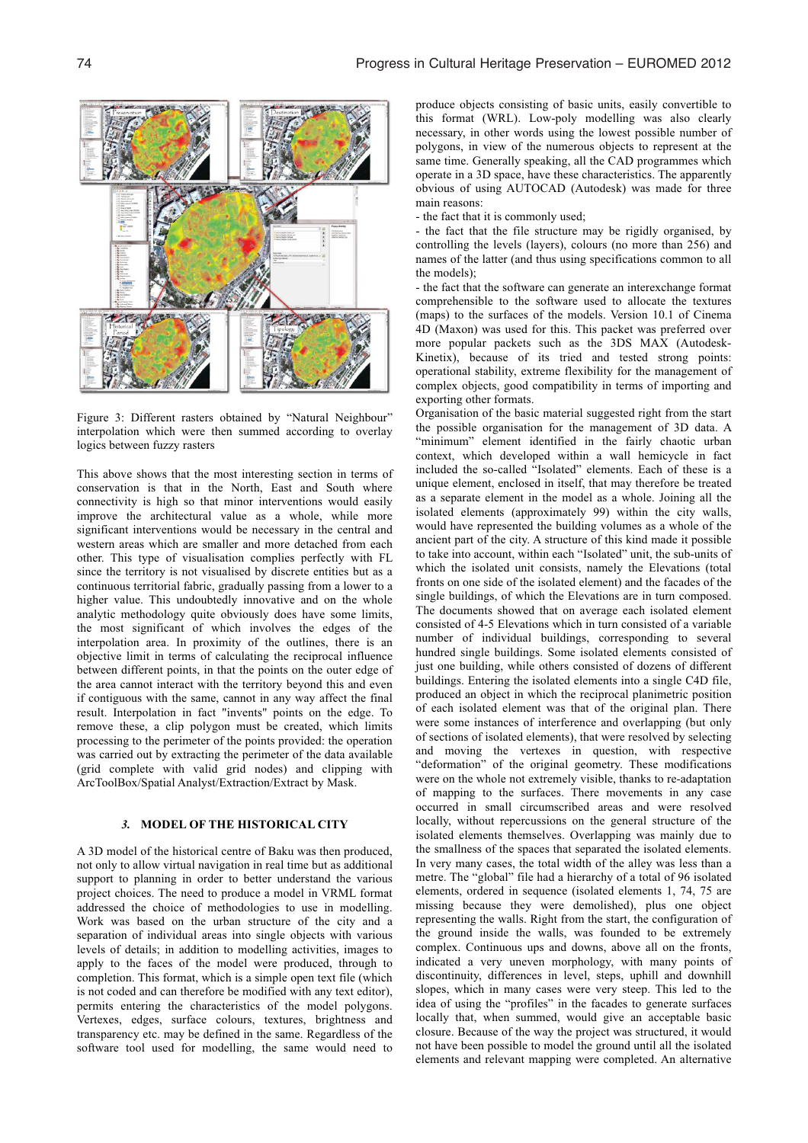

Figure 3: Different rasters obtained by "Natural Neighbour" interpolation which were then summed according to overlay logics between fuzzy rasters

This above shows that the most interesting section in terms of conservation is that in the North, East and South where connectivity is high so that minor interventions would easily improve the architectural value as a whole, while more significant interventions would be necessary in the central and western areas which are smaller and more detached from each other. This type of visualisation complies perfectly with FL since the territory is not visualised by discrete entities but as a continuous territorial fabric, gradually passing from a lower to a higher value. This undoubtedly innovative and on the whole analytic methodology quite obviously does have some limits, the most significant of which involves the edges of the interpolation area. In proximity of the outlines, there is an objective limit in terms of calculating the reciprocal influence between different points, in that the points on the outer edge of the area cannot interact with the territory beyond this and even if contiguous with the same, cannot in any way affect the final result. Interpolation in fact "invents" points on the edge. To remove these, a clip polygon must be created, which limits processing to the perimeter of the points provided: the operation was carried out by extracting the perimeter of the data available (grid complete with valid grid nodes) and clipping with ArcToolBox/Spatial Analyst/Extraction/Extract by Mask.

## *3.* **MODEL OF THE HISTORICAL CITY**

A 3D model of the historical centre of Baku was then produced, not only to allow virtual navigation in real time but as additional support to planning in order to better understand the various project choices. The need to produce a model in VRML format addressed the choice of methodologies to use in modelling. Work was based on the urban structure of the city and a separation of individual areas into single objects with various levels of details; in addition to modelling activities, images to apply to the faces of the model were produced, through to completion. This format, which is a simple open text file (which is not coded and can therefore be modified with any text editor), permits entering the characteristics of the model polygons. Vertexes, edges, surface colours, textures, brightness and transparency etc. may be defined in the same. Regardless of the software tool used for modelling, the same would need to

produce objects consisting of basic units, easily convertible to this format (WRL). Low-poly modelling was also clearly necessary, in other words using the lowest possible number of polygons, in view of the numerous objects to represent at the same time. Generally speaking, all the CAD programmes which operate in a 3D space, have these characteristics. The apparently obvious of using AUTOCAD (Autodesk) was made for three main reasons:

- the fact that it is commonly used;

- the fact that the file structure may be rigidly organised, by controlling the levels (layers), colours (no more than 256) and names of the latter (and thus using specifications common to all the models);

- the fact that the software can generate an interexchange format comprehensible to the software used to allocate the textures (maps) to the surfaces of the models. Version 10.1 of Cinema 4D (Maxon) was used for this. This packet was preferred over more popular packets such as the 3DS MAX (Autodesk-Kinetix), because of its tried and tested strong points: operational stability, extreme flexibility for the management of complex objects, good compatibility in terms of importing and exporting other formats.

Organisation of the basic material suggested right from the start the possible organisation for the management of 3D data. A "minimum" element identified in the fairly chaotic urban context, which developed within a wall hemicycle in fact included the so-called "Isolated" elements. Each of these is a unique element, enclosed in itself, that may therefore be treated as a separate element in the model as a whole. Joining all the isolated elements (approximately 99) within the city walls, would have represented the building volumes as a whole of the ancient part of the city. A structure of this kind made it possible to take into account, within each "Isolated" unit, the sub-units of which the isolated unit consists, namely the Elevations (total fronts on one side of the isolated element) and the facades of the single buildings, of which the Elevations are in turn composed. The documents showed that on average each isolated element consisted of 4-5 Elevations which in turn consisted of a variable number of individual buildings, corresponding to several hundred single buildings. Some isolated elements consisted of just one building, while others consisted of dozens of different buildings. Entering the isolated elements into a single C4D file, produced an object in which the reciprocal planimetric position of each isolated element was that of the original plan. There were some instances of interference and overlapping (but only of sections of isolated elements), that were resolved by selecting and moving the vertexes in question, with respective "deformation" of the original geometry. These modifications were on the whole not extremely visible, thanks to re-adaptation of mapping to the surfaces. There movements in any case occurred in small circumscribed areas and were resolved locally, without repercussions on the general structure of the isolated elements themselves. Overlapping was mainly due to the smallness of the spaces that separated the isolated elements. In very many cases, the total width of the alley was less than a metre. The "global" file had a hierarchy of a total of 96 isolated elements, ordered in sequence (isolated elements 1, 74, 75 are missing because they were demolished), plus one object representing the walls. Right from the start, the configuration of the ground inside the walls, was founded to be extremely complex. Continuous ups and downs, above all on the fronts, indicated a very uneven morphology, with many points of discontinuity, differences in level, steps, uphill and downhill slopes, which in many cases were very steep. This led to the idea of using the "profiles" in the facades to generate surfaces locally that, when summed, would give an acceptable basic closure. Because of the way the project was structured, it would not have been possible to model the ground until all the isolated elements and relevant mapping were completed. An alternative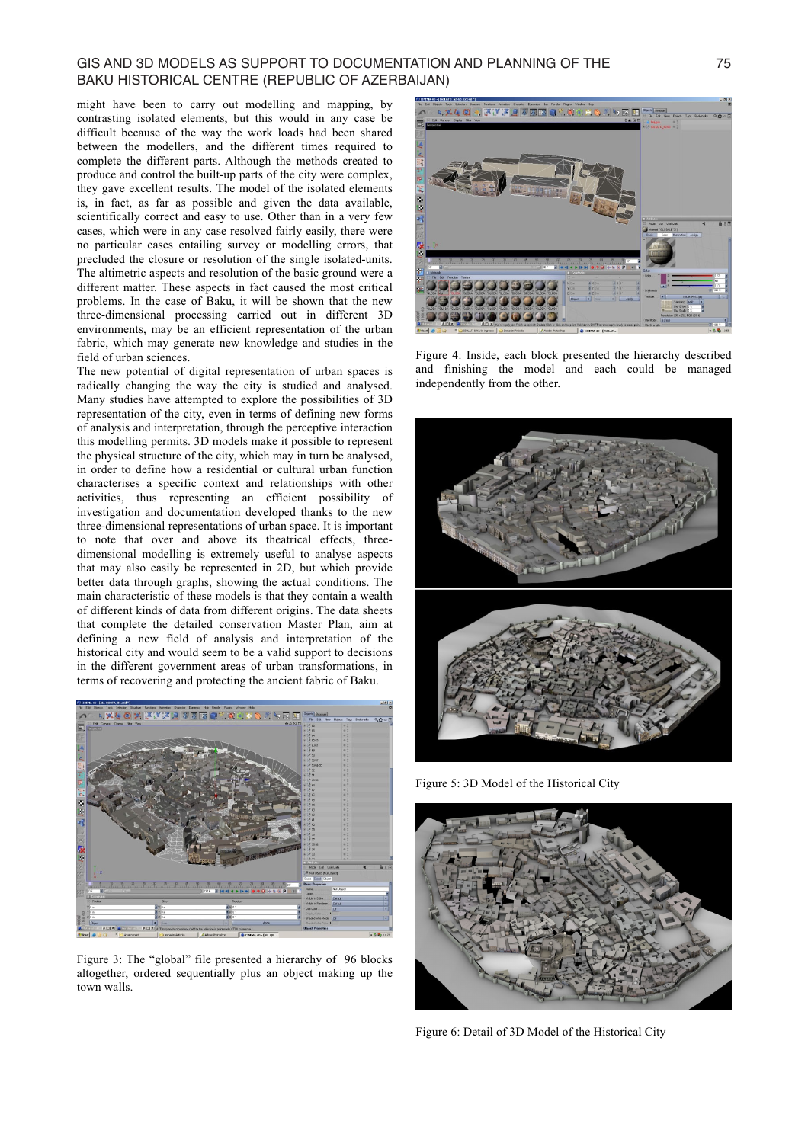## GIS AND 3D MODELS AS SUPPORT TO DOCUMENTATION AND PLANNING OF THE 75 BAKU HISTORICAL CENTRE (REPUBLIC OF AZERBAIJAN)

might have been to carry out modelling and mapping, by contrasting isolated elements, but this would in any case be difficult because of the way the work loads had been shared between the modellers, and the different times required to complete the different parts. Although the methods created to produce and control the built-up parts of the city were complex, they gave excellent results. The model of the isolated elements is, in fact, as far as possible and given the data available, scientifically correct and easy to use. Other than in a very few cases, which were in any case resolved fairly easily, there were no particular cases entailing survey or modelling errors, that precluded the closure or resolution of the single isolated-units. The altimetric aspects and resolution of the basic ground were a different matter. These aspects in fact caused the most critical problems. In the case of Baku, it will be shown that the new three-dimensional processing carried out in different 3D environments, may be an efficient representation of the urban fabric, which may generate new knowledge and studies in the field of urban sciences.

The new potential of digital representation of urban spaces is radically changing the way the city is studied and analysed. Many studies have attempted to explore the possibilities of 3D representation of the city, even in terms of defining new forms of analysis and interpretation, through the perceptive interaction this modelling permits. 3D models make it possible to represent the physical structure of the city, which may in turn be analysed, in order to define how a residential or cultural urban function characterises a specific context and relationships with other activities, thus representing an efficient possibility of investigation and documentation developed thanks to the new three-dimensional representations of urban space. It is important to note that over and above its theatrical effects, threedimensional modelling is extremely useful to analyse aspects that may also easily be represented in 2D, but which provide better data through graphs, showing the actual conditions. The main characteristic of these models is that they contain a wealth of different kinds of data from different origins. The data sheets that complete the detailed conservation Master Plan, aim at defining a new field of analysis and interpretation of the historical city and would seem to be a valid support to decisions in the different government areas of urban transformations, in terms of recovering and protecting the ancient fabric of Baku.



Figure 3: The "global" file presented a hierarchy of 96 blocks altogether, ordered sequentially plus an object making up the town walls.



Figure 4: Inside, each block presented the hierarchy described and finishing the model and each could be managed independently from the other.



Figure 5: 3D Model of the Historical City



Figure 6: Detail of 3D Model of the Historical City